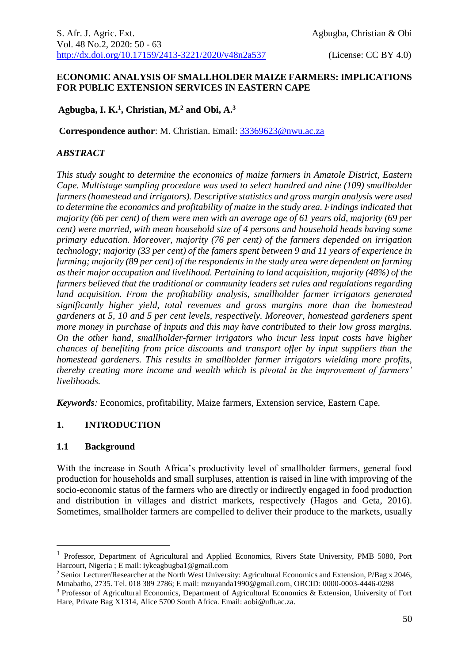#### **ECONOMIC ANALYSIS OF SMALLHOLDER MAIZE FARMERS: IMPLICATIONS FOR PUBLIC EXTENSION SERVICES IN EASTERN CAPE**

## **Agbugba, I. K. 1 , Christian, M. <sup>2</sup> and Obi, A. 3**

**Correspondence author**: M. Christian. Email: [33369623@nwu.ac.za](mailto:33369623@nwu.ac.za)

#### *ABSTRACT*

*This study sought to determine the economics of maize farmers in Amatole District, Eastern Cape. Multistage sampling procedure was used to select hundred and nine (109) smallholder farmers (homestead and irrigators). Descriptive statistics and gross margin analysis were used to determine the economics and profitability of maize in the study area. Findings indicated that majority (66 per cent) of them were men with an average age of 61 years old, majority (69 per cent) were married, with mean household size of 4 persons and household heads having some primary education. Moreover, majority (76 per cent) of the farmers depended on irrigation technology; majority (33 per cent) of the famers spent between 9 and 11 years of experience in farming; majority (89 per cent) of the respondents in the study area were dependent on farming as their major occupation and livelihood. Pertaining to land acquisition, majority (48%) of the farmers believed that the traditional or community leaders set rules and regulations regarding land acquisition. From the profitability analysis, smallholder farmer irrigators generated significantly higher yield, total revenues and gross margins more than the homestead gardeners at 5, 10 and 5 per cent levels, respectively. Moreover, homestead gardeners spent more money in purchase of inputs and this may have contributed to their low gross margins. On the other hand, smallholder-farmer irrigators who incur less input costs have higher chances of benefiting from price discounts and transport offer by input suppliers than the homestead gardeners. This results in smallholder farmer irrigators wielding more profits, thereby creating more income and wealth which is pivotal in the improvement of farmers' livelihoods.*

*Keywords:* Economics, profitability, Maize farmers, Extension service, Eastern Cape.

## **1. INTRODUCTION**

#### **1.1 Background**

1

With the increase in South Africa's productivity level of smallholder farmers, general food production for households and small surpluses, attention is raised in line with improving of the socio-economic status of the farmers who are directly or indirectly engaged in food production and distribution in villages and district markets, respectively (Hagos and Geta, 2016). Sometimes, smallholder farmers are compelled to deliver their produce to the markets, usually

<sup>&</sup>lt;sup>1</sup> Professor, Department of Agricultural and Applied Economics, Rivers State University, PMB 5080, Port Harcourt, Nigeria ; E mail: iykeagbugba1@gmail.com

<sup>2</sup> Senior Lecturer/Researcher at the North West University: Agricultural Economics and Extension, P/Bag x 2046, Mmabatho, 2735. Tel. 018 389 2786; E mail: mzuyanda1990@gmail.com, ORCID: 0000-0003-4446-0298

<sup>3</sup> Professor of Agricultural Economics, Department of Agricultural Economics & Extension, University of Fort Hare, Private Bag X1314, Alice 5700 South Africa. Email: aobi@ufh.ac.za.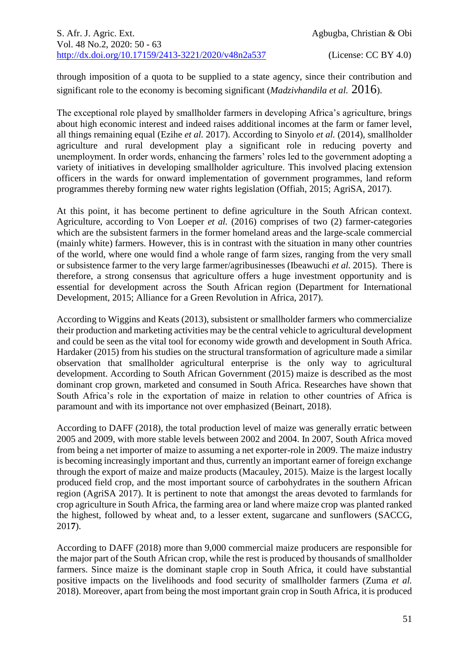through imposition of a quota to be supplied to a state agency, since their contribution and significant role to the economy is becoming significant (*Madzivhandila et al.* 2016).

The exceptional role played by smallholder farmers in developing Africa's agriculture, brings about high economic interest and indeed raises additional incomes at the farm or famer level, all things remaining equal (Ezihe *et al.* 2017). According to Sinyolo *et al.* (2014), smallholder agriculture and rural development play a significant role in reducing poverty and unemployment. In order words, enhancing the farmers' roles led to the government adopting a variety of initiatives in developing smallholder agriculture. This involved placing extension officers in the wards for onward implementation of government programmes, land reform programmes thereby forming new water rights legislation (Offiah, 2015; AgriSA, 2017).

At this point, it has become pertinent to define agriculture in the South African context. Agriculture, according to Von Loeper *et al.* (2016) comprises of two (2) farmer-categories which are the subsistent farmers in the former homeland areas and the large-scale commercial (mainly white) farmers. However, this is in contrast with the situation in many other countries of the world, where one would find a whole range of farm sizes, ranging from the very small or subsistence farmer to the very large farmer/agribusinesses (Ibeawuchi *et al.* 2015). There is therefore, a strong consensus that agriculture offers a huge investment opportunity and is essential for development across the South African region (Department for International Development, 2015; Alliance for a Green Revolution in Africa, 2017).

According to Wiggins and Keats (2013), subsistent or smallholder farmers who commercialize their production and marketing activities may be the central vehicle to agricultural development and could be seen as the vital tool for economy wide growth and development in South Africa. Hardaker (2015) from his studies on the structural transformation of agriculture made a similar observation that smallholder agricultural enterprise is the only way to agricultural development. According to South African Government (2015) maize is described as the most dominant crop grown, marketed and consumed in South Africa. Researches have shown that South Africa's role in the exportation of maize in relation to other countries of Africa is paramount and with its importance not over emphasized (Beinart, 2018).

According to DAFF (2018), the total production level of maize was generally erratic between 2005 and 2009, with more stable levels between 2002 and 2004. In 2007, South Africa moved from being a net importer of maize to assuming a net exporter-role in 2009. The maize industry is becoming increasingly important and thus, currently an important earner of foreign exchange through the export of maize and maize products (Macauley, 2015). Maize is the largest locally produced field crop, and the most important source of carbohydrates in the southern African region (AgriSA 2017). It is pertinent to note that amongst the areas devoted to farmlands for crop agriculture in South Africa, the farming area or land where maize crop was planted ranked the highest, followed by wheat and, to a lesser extent, sugarcane and sunflowers (SACCG, 201**7**).

According to DAFF (2018) more than 9,000 commercial maize producers are responsible for the major part of the South African crop, while the rest is produced by thousands of smallholder farmers. Since maize is the dominant staple crop in South Africa, it could have substantial positive impacts on the livelihoods and food security of smallholder farmers (Zuma *et al.* 2018). Moreover, apart from being the most important grain crop in South Africa, it is produced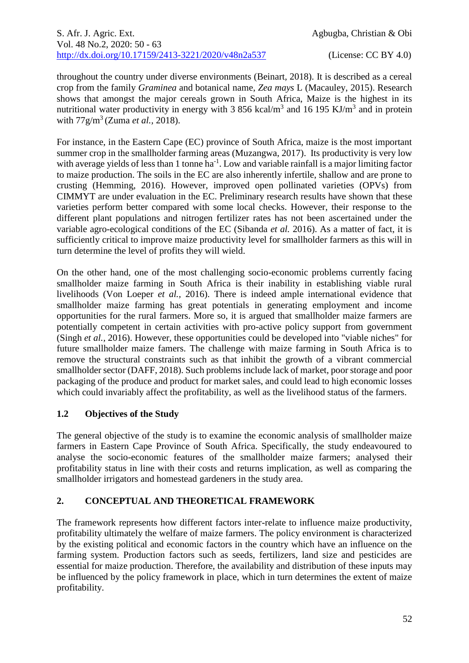throughout the country under diverse environments (Beinart*,* 2018). It is described as a cereal crop from the family *Graminea* and botanical name, *Zea mays* L (Macauley, 2015). Research shows that amongst the major cereals grown in South Africa, Maize is the highest in its nutritional water productivity in energy with 3 856 kcal/ $m<sup>3</sup>$  and 16 195 KJ/ $m<sup>3</sup>$  and in protein with 77g/m<sup>3</sup>(Zuma *et al.,* 2018).

For instance, in the Eastern Cape (EC) province of South Africa, maize is the most important summer crop in the smallholder farming areas (Muzangwa, 2017). Its productivity is very low with average yields of less than 1 tonne ha<sup>-1</sup>. Low and variable rainfall is a major limiting factor to maize production. The soils in the EC are also inherently infertile, shallow and are prone to crusting (Hemming, 2016). However, improved open pollinated varieties (OPVs) from CIMMYT are under evaluation in the EC. Preliminary research results have shown that these varieties perform better compared with some local checks. However, their response to the different plant populations and nitrogen fertilizer rates has not been ascertained under the variable agro-ecological conditions of the EC (Sibanda *et al.* 2016). As a matter of fact, it is sufficiently critical to improve maize productivity level for smallholder farmers as this will in turn determine the level of profits they will wield.

On the other hand, one of the most challenging socio-economic problems currently facing smallholder maize farming in South Africa is their inability in establishing viable rural livelihoods (Von Loeper *et al.,* 2016). There is indeed ample international evidence that smallholder maize farming has great potentials in generating employment and income opportunities for the rural farmers. More so, it is argued that smallholder maize farmers are potentially competent in certain activities with pro-active policy support from government (Singh *et al.,* 2016). However, these opportunities could be developed into "viable niches" for future smallholder maize famers. The challenge with maize farming in South Africa is to remove the structural constraints such as that inhibit the growth of a vibrant commercial smallholder sector (DAFF, 2018). Such problems include lack of market, poor storage and poor packaging of the produce and product for market sales, and could lead to high economic losses which could invariably affect the profitability, as well as the livelihood status of the farmers.

# **1.2 Objectives of the Study**

The general objective of the study is to examine the economic analysis of smallholder maize farmers in Eastern Cape Province of South Africa. Specifically, the study endeavoured to analyse the socio-economic features of the smallholder maize farmers; analysed their profitability status in line with their costs and returns implication, as well as comparing the smallholder irrigators and homestead gardeners in the study area.

## **2. CONCEPTUAL AND THEORETICAL FRAMEWORK**

The framework represents how different factors inter-relate to influence maize productivity, profitability ultimately the welfare of maize farmers. The policy environment is characterized by the existing political and economic factors in the country which have an influence on the farming system. Production factors such as seeds, fertilizers, land size and pesticides are essential for maize production. Therefore, the availability and distribution of these inputs may be influenced by the policy framework in place, which in turn determines the extent of maize profitability.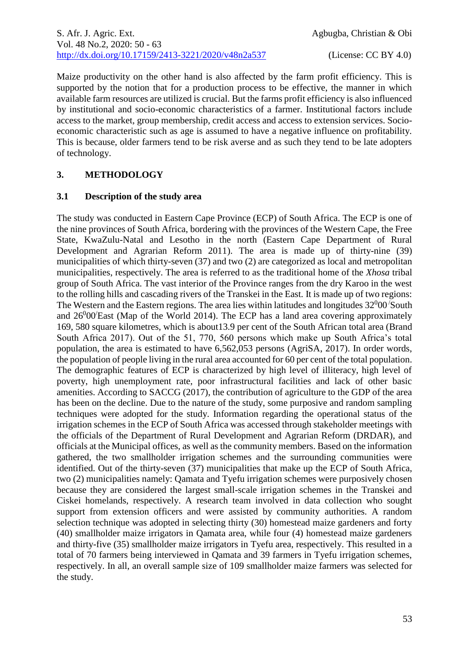Maize productivity on the other hand is also affected by the farm profit efficiency. This is supported by the notion that for a production process to be effective, the manner in which available farm resources are utilized is crucial. But the farms profit efficiency is also influenced by institutional and socio-economic characteristics of a farmer. Institutional factors include access to the market, group membership, credit access and access to extension services. Socioeconomic characteristic such as age is assumed to have a negative influence on profitability. This is because, older farmers tend to be risk averse and as such they tend to be late adopters of technology.

# **3. METHODOLOGY**

## **3.1 Description of the study area**

The study was conducted in Eastern Cape Province (ECP) of South Africa. The ECP is one of the nine provinces of South Africa, bordering with the provinces of the Western Cape, the Free State, KwaZulu-Natal and Lesotho in the north (Eastern Cape Department of Rural Development and Agrarian Reform 2011). The area is made up of thirty-nine (39) municipalities of which thirty-seven (37) and two (2) are categorized as local and metropolitan municipalities, respectively. The area is referred to as the traditional home of the *Xhosa* tribal group of South Africa. The vast interior of the Province ranges from the dry Karoo in the west to the rolling hills and cascading rivers of the Transkei in the East. It is made up of two regions: The Western and the Eastern regions. The area lies within latitudes and longitudes  $32^{0}00$  South and  $26^000'$ East (Map of the World 2014). The ECP has a land area covering approximately 169, 580 square kilometres, which is about13.9 per cent of the South African total area (Brand South Africa 2017). Out of the 51, 770, 560 persons which make up South Africa's total population, the area is estimated to have 6,562,053 persons (AgriSA, 2017). In order words, the population of people living in the rural area accounted for 60 per cent of the total population. The demographic features of ECP is characterized by high level of illiteracy, high level of poverty, high unemployment rate, poor infrastructural facilities and lack of other basic amenities. According to SACCG (2017), the contribution of agriculture to the GDP of the area has been on the decline. Due to the nature of the study, some purposive and random sampling techniques were adopted for the study. Information regarding the operational status of the irrigation schemes in the ECP of South Africa was accessed through stakeholder meetings with the officials of the Department of Rural Development and Agrarian Reform (DRDAR), and officials at the Municipal offices, as well as the community members. Based on the information gathered, the two smallholder irrigation schemes and the surrounding communities were identified. Out of the thirty-seven (37) municipalities that make up the ECP of South Africa, two (2) municipalities namely: Qamata and Tyefu irrigation schemes were purposively chosen because they are considered the largest small-scale irrigation schemes in the Transkei and Ciskei homelands, respectively. A research team involved in data collection who sought support from extension officers and were assisted by community authorities. A random selection technique was adopted in selecting thirty (30) homestead maize gardeners and forty (40) smallholder maize irrigators in Qamata area, while four (4) homestead maize gardeners and thirty-five (35) smallholder maize irrigators in Tyefu area, respectively. This resulted in a total of 70 farmers being interviewed in Qamata and 39 farmers in Tyefu irrigation schemes, respectively. In all, an overall sample size of 109 smallholder maize farmers was selected for the study.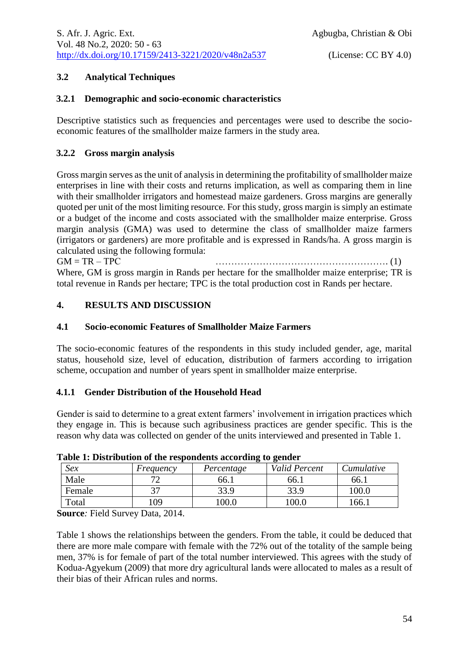## **3.2 Analytical Techniques**

#### **3.2.1 Demographic and socio-economic characteristics**

Descriptive statistics such as frequencies and percentages were used to describe the socioeconomic features of the smallholder maize farmers in the study area.

#### **3.2.2 Gross margin analysis**

Gross margin serves as the unit of analysis in determining the profitability of smallholder maize enterprises in line with their costs and returns implication, as well as comparing them in line with their smallholder irrigators and homestead maize gardeners. Gross margins are generally quoted per unit of the most limiting resource. For this study, gross margin is simply an estimate or a budget of the income and costs associated with the smallholder maize enterprise. Gross margin analysis (GMA) was used to determine the class of smallholder maize farmers (irrigators or gardeners) are more profitable and is expressed in Rands/ha. A gross margin is calculated using the following formula:

 $GM = TR - TPC$  (1) Where, GM is gross margin in Rands per hectare for the smallholder maize enterprise; TR is total revenue in Rands per hectare; TPC is the total production cost in Rands per hectare.

# **4. RESULTS AND DISCUSSION**

#### **4.1 Socio-economic Features of Smallholder Maize Farmers**

The socio-economic features of the respondents in this study included gender, age, marital status, household size, level of education, distribution of farmers according to irrigation scheme, occupation and number of years spent in smallholder maize enterprise.

## **4.1.1 Gender Distribution of the Household Head**

Gender is said to determine to a great extent farmers' involvement in irrigation practices which they engage in. This is because such agribusiness practices are gender specific. This is the reason why data was collected on gender of the units interviewed and presented in Table 1.

| Table 1. Distribution of the respondents according to genuer |           |            |                      |            |  |  |
|--------------------------------------------------------------|-----------|------------|----------------------|------------|--|--|
| Sex                                                          | Frequency | Percentage | <b>Valid Percent</b> | Cumulative |  |  |
| Male                                                         |           | 66.1       | 66.1                 | 66.1       |  |  |
| Female                                                       |           | 33.9       | 33.9                 | 100.0      |  |  |
| Total                                                        | 09        |            | 0.00                 | .66.1      |  |  |

#### **Table 1: Distribution of the respondents according to gender**

**Source***:* Field Survey Data, 2014.

Table 1 shows the relationships between the genders. From the table, it could be deduced that there are more male compare with female with the 72% out of the totality of the sample being men, 37% is for female of part of the total number interviewed. This agrees with the study of Kodua-Agyekum (2009) that more dry agricultural lands were allocated to males as a result of their bias of their African rules and norms.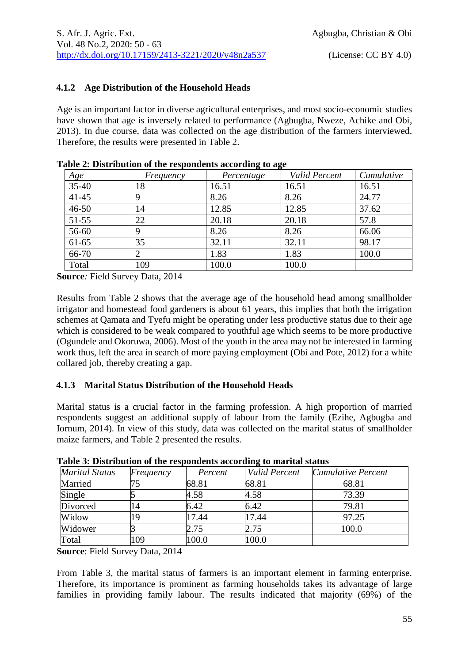## **4.1.2 Age Distribution of the Household Heads**

Age is an important factor in diverse agricultural enterprises, and most socio-economic studies have shown that age is inversely related to performance (Agbugba, Nweze, Achike and Obi, 2013). In due course, data was collected on the age distribution of the farmers interviewed. Therefore, the results were presented in Table 2.

| able 2. Distribution of the respondents according to age |                |            |               |            |  |  |
|----------------------------------------------------------|----------------|------------|---------------|------------|--|--|
| Age                                                      | Frequency      | Percentage | Valid Percent | Cumulative |  |  |
| $35-40$                                                  | 18             | 16.51      | 16.51         | 16.51      |  |  |
| $41 - 45$                                                | 9              | 8.26       | 8.26          | 24.77      |  |  |
| $46 - 50$                                                | 14             | 12.85      | 12.85         | 37.62      |  |  |
| $51 - 55$                                                | 22             | 20.18      | 20.18         | 57.8       |  |  |
| 56-60                                                    | 9              | 8.26       | 8.26          | 66.06      |  |  |
| $61-65$                                                  | 35             | 32.11      | 32.11         | 98.17      |  |  |
| 66-70                                                    | $\overline{2}$ | 1.83       | 1.83          | 100.0      |  |  |
| Total                                                    | 109            | 100.0      | 100.0         |            |  |  |

**Table 2: Distribution of the respondents according to age**

**Source***:* Field Survey Data, 2014

Results from Table 2 shows that the average age of the household head among smallholder irrigator and homestead food gardeners is about 61 years, this implies that both the irrigation schemes at Qamata and Tyefu might be operating under less productive status due to their age which is considered to be weak compared to youthful age which seems to be more productive (Ogundele and Okoruwa, 2006). Most of the youth in the area may not be interested in farming work thus, left the area in search of more paying employment (Obi and Pote, 2012) for a white collared job, thereby creating a gap.

## **4.1.3 Marital Status Distribution of the Household Heads**

Marital status is a crucial factor in the farming profession. A high proportion of married respondents suggest an additional supply of labour from the family (Ezihe, Agbugba and Iornum, 2014). In view of this study, data was collected on the marital status of smallholder maize farmers, and Table 2 presented the results.

| TWOTO OF D'ASULAS WOLF OF VALUE OUR SHURDING WOOST WAILER OF AANGERING SOMOONS |           |         |               |                    |  |  |
|--------------------------------------------------------------------------------|-----------|---------|---------------|--------------------|--|--|
| <b>Marital Status</b>                                                          | Frequency | Percent | Valid Percent | Cumulative Percent |  |  |
| Married                                                                        |           | 68.81   | 68.81         | 68.81              |  |  |
| Single                                                                         |           | 4.58    | 4.58          | 73.39              |  |  |
| Divorced                                                                       | 14        | 6.42    | 6.42          | 79.81              |  |  |
| Widow                                                                          | 19        | 17.44   | 17.44         | 97.25              |  |  |
| Widower                                                                        |           | 2.75    | 2.75          | 100.0              |  |  |
| Total                                                                          | 109       | 100.0   | 100.0         |                    |  |  |

**Table 3: Distribution of the respondents according to marital status**

**Source**: Field Survey Data, 2014

From Table 3, the marital status of farmers is an important element in farming enterprise. Therefore, its importance is prominent as farming households takes its advantage of large families in providing family labour. The results indicated that majority (69%) of the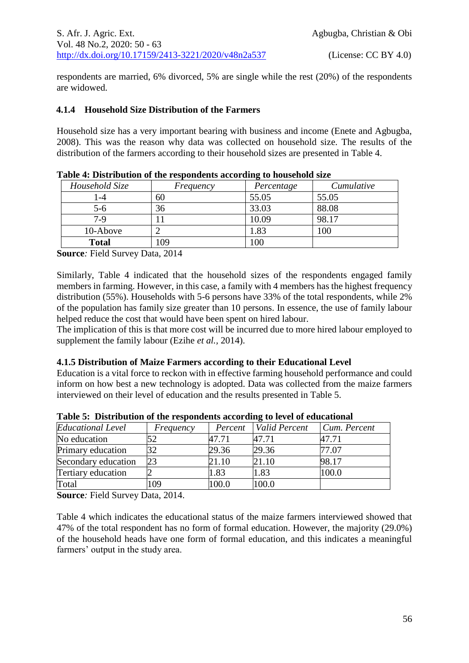respondents are married, 6% divorced, 5% are single while the rest (20%) of the respondents are widowed.

## **4.1.4 Household Size Distribution of the Farmers**

Household size has a very important bearing with business and income (Enete and Agbugba, 2008). This was the reason why data was collected on household size. The results of the distribution of the farmers according to their household sizes are presented in Table 4.

| Household Size | Frequency | ້<br>Percentage | Cumulative |
|----------------|-----------|-----------------|------------|
|                | 60        | 55.05           | 55.05      |
| 5-6            | 36        | 33.03           | 88.08      |
| $7-9$          |           | 10.09           | 98.17      |
| 10-Above       |           | .83             | 100        |
| <b>Total</b>   | 109       | 100             |            |

**Table 4: Distribution of the respondents according to household size**

**Source***:* Field Survey Data, 2014

Similarly, Table 4 indicated that the household sizes of the respondents engaged family members in farming. However, in this case, a family with 4 members has the highest frequency distribution (55%). Households with 5-6 persons have 33% of the total respondents, while 2% of the population has family size greater than 10 persons. In essence, the use of family labour helped reduce the cost that would have been spent on hired labour.

The implication of this is that more cost will be incurred due to more hired labour employed to supplement the family labour (Ezihe *et al.,* 2014).

#### **4.1.5 Distribution of Maize Farmers according to their Educational Level**

Education is a vital force to reckon with in effective farming household performance and could inform on how best a new technology is adopted. Data was collected from the maize farmers interviewed on their level of education and the results presented in Table 5.

| <b>Educational Level</b> | Frequency | Percent | Valid Percent | Cum. Percent |
|--------------------------|-----------|---------|---------------|--------------|
| No education             |           | 47.71   | 47.71         | 47.71        |
| Primary education        | 32        | 29.36   | 29.36         | 77.07        |
| Secondary education      | 23        | 21.10   | 21.10         | 98.17        |
| Tertiary education       |           | 1.83    | 1.83          | 100.0        |
| Total                    | 109       | 100.0   | 100.0         |              |

**Table 5: Distribution of the respondents according to level of educational**

**Source***:* Field Survey Data, 2014.

Table 4 which indicates the educational status of the maize farmers interviewed showed that 47% of the total respondent has no form of formal education. However, the majority (29.0%) of the household heads have one form of formal education, and this indicates a meaningful farmers' output in the study area.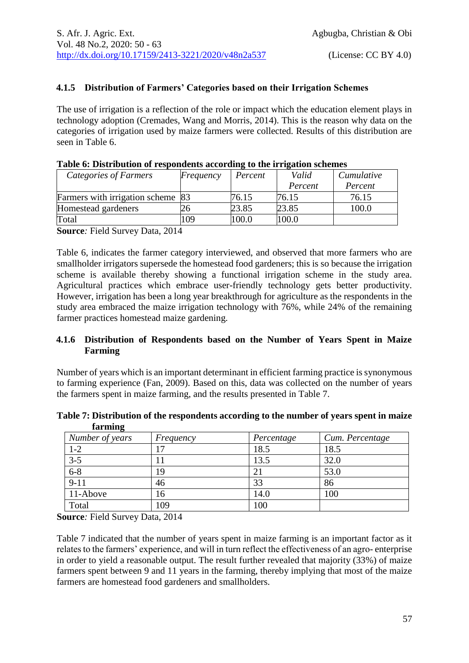## **4.1.5 Distribution of Farmers' Categories based on their Irrigation Schemes**

The use of irrigation is a reflection of the role or impact which the education element plays in technology adoption (Cremades, Wang and Morris, 2014). This is the reason why data on the categories of irrigation used by maize farmers were collected. Results of this distribution are seen in Table 6.

| Tuble of Distribution of respondence according to the hill and schemes |           |         |         |            |  |  |
|------------------------------------------------------------------------|-----------|---------|---------|------------|--|--|
| Categories of Farmers                                                  | Frequency | Percent | Valid   | Cumulative |  |  |
|                                                                        |           |         | Percent | Percent    |  |  |
| Farmers with irrigation scheme 83                                      |           | 76.15   | 76.15   | 76.15      |  |  |
| Homestead gardeners                                                    |           | 23.85   | 23.85   | 100.0      |  |  |
| Total                                                                  | 09        | 100.0   | 100.0   |            |  |  |

| Table 6: Distribution of respondents according to the irrigation schemes |  |  |  |  |
|--------------------------------------------------------------------------|--|--|--|--|
|--------------------------------------------------------------------------|--|--|--|--|

**Source***:* Field Survey Data, 2014

Table 6, indicates the farmer category interviewed, and observed that more farmers who are smallholder irrigators supersede the homestead food gardeners; this is so because the irrigation scheme is available thereby showing a functional irrigation scheme in the study area. Agricultural practices which embrace user-friendly technology gets better productivity. However, irrigation has been a long year breakthrough for agriculture as the respondents in the study area embraced the maize irrigation technology with 76%, while 24% of the remaining farmer practices homestead maize gardening.

#### **4.1.6 Distribution of Respondents based on the Number of Years Spent in Maize Farming**

Number of years which is an important determinant in efficient farming practice is synonymous to farming experience (Fan, 2009). Based on this, data was collected on the number of years the farmers spent in maize farming, and the results presented in Table 7.

|         | Table 7: Distribution of the respondents according to the number of years spent in maize |  |
|---------|------------------------------------------------------------------------------------------|--|
| farming |                                                                                          |  |

| Number of years | Frequency | Percentage | Cum. Percentage |
|-----------------|-----------|------------|-----------------|
| $1 - 2$         |           | 18.5       | 18.5            |
| $3 - 5$         |           | 13.5       | 32.0            |
| $6 - 8$         | 19        | 21         | 53.0            |
| $9-11$          | 46        | 33         | 86              |
| 11-Above        | 16        | 14.0       | 100             |
| Total           | 109       | 100        |                 |

**Source***:* Field Survey Data, 2014

Table 7 indicated that the number of years spent in maize farming is an important factor as it relates to the farmers' experience, and will in turn reflect the effectiveness of an agro- enterprise in order to yield a reasonable output. The result further revealed that majority (33%) of maize farmers spent between 9 and 11 years in the farming, thereby implying that most of the maize farmers are homestead food gardeners and smallholders.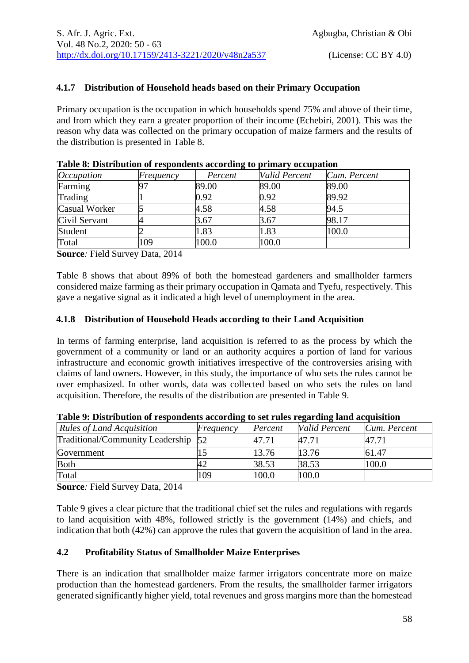# **4.1.7 Distribution of Household heads based on their Primary Occupation**

Primary occupation is the occupation in which households spend 75% and above of their time, and from which they earn a greater proportion of their income (Echebiri, 2001). This was the reason why data was collected on the primary occupation of maize farmers and the results of the distribution is presented in Table 8.

| <i>Occupation</i> | Frequency  | Percent | Valid Percent | Cum. Percent |
|-------------------|------------|---------|---------------|--------------|
| Farming           | $\Omega^-$ | 89.00   | 89.00         | 89.00        |
| Trading           |            | 0.92    | 0.92          | 89.92        |
| Casual Worker     |            | 4.58    | 4.58          | 94.5         |
| Civil Servant     |            | 3.67    | 3.67          | 98.17        |
| Student           |            | 1.83    | 1.83          | 100.0        |
| Total             | 109        | 100.0   | 100.0         |              |

**Source***:* Field Survey Data, 2014

Table 8 shows that about 89% of both the homestead gardeners and smallholder farmers considered maize farming as their primary occupation in Qamata and Tyefu, respectively. This gave a negative signal as it indicated a high level of unemployment in the area.

## **4.1.8 Distribution of Household Heads according to their Land Acquisition**

In terms of farming enterprise, land acquisition is referred to as the process by which the government of a community or land or an authority acquires a portion of land for various infrastructure and economic growth initiatives irrespective of the controversies arising with claims of land owners. However, in this study, the importance of who sets the rules cannot be over emphasized. In other words, data was collected based on who sets the rules on land acquisition. Therefore, the results of the distribution are presented in Table 9.

| <b>Rules of Land Acquisition</b>    | Frequency | Percent | Valid Percent | Cum. Percent |
|-------------------------------------|-----------|---------|---------------|--------------|
| Traditional/Community Leadership 52 |           | 47.71   | 47.71         | 47.71        |
| Government                          |           | 13.76   | 13.76         | 61.47        |
| <b>Both</b>                         |           | 38.53   | 38.53         | 100.0        |
| Total                               | 109       | 100.0   | 100.0         |              |

| Table 9: Distribution of respondents according to set rules regarding land acquisition |  |  |  |  |
|----------------------------------------------------------------------------------------|--|--|--|--|
|                                                                                        |  |  |  |  |

**Source***:* Field Survey Data, 2014

Table 9 gives a clear picture that the traditional chief set the rules and regulations with regards to land acquisition with 48%, followed strictly is the government (14%) and chiefs, and indication that both (42%) can approve the rules that govern the acquisition of land in the area.

## **4.2 Profitability Status of Smallholder Maize Enterprises**

There is an indication that smallholder maize farmer irrigators concentrate more on maize production than the homestead gardeners. From the results, the smallholder farmer irrigators generated significantly higher yield, total revenues and gross margins more than the homestead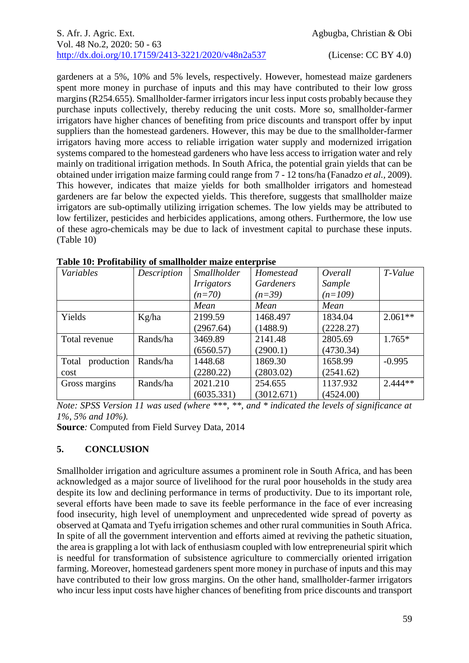gardeners at a 5%, 10% and 5% levels, respectively. However, homestead maize gardeners spent more money in purchase of inputs and this may have contributed to their low gross margins (R254.655). Smallholder-farmer irrigators incur less input costs probably because they purchase inputs collectively, thereby reducing the unit costs. More so, smallholder-farmer irrigators have higher chances of benefiting from price discounts and transport offer by input suppliers than the homestead gardeners. However, this may be due to the smallholder-farmer irrigators having more access to reliable irrigation water supply and modernized irrigation systems compared to the homestead gardeners who have less access to irrigation water and rely mainly on traditional irrigation methods. In South Africa, the potential grain yields that can be obtained under irrigation maize farming could range from 7 - 12 tons/ha (Fanadzo *et al.,* 2009). This however, indicates that maize yields for both smallholder irrigators and homestead gardeners are far below the expected yields. This therefore, suggests that smallholder maize irrigators are sub-optimally utilizing irrigation schemes. The low yields may be attributed to low fertilizer, pesticides and herbicides applications, among others. Furthermore, the low use of these agro-chemicals may be due to lack of investment capital to purchase these inputs. (Table 10)

| Variables           | Description | Smallholder       | Homestead  | Overall   | T-Value   |
|---------------------|-------------|-------------------|------------|-----------|-----------|
|                     |             | <i>Irrigators</i> | Gardeners  | Sample    |           |
|                     |             | $(n=70)$          | $(n=39)$   | $(n=109)$ |           |
|                     |             | Mean              | Mean       | Mean      |           |
| Yields              | Kg/ha       | 2199.59           | 1468.497   | 1834.04   | $2.061**$ |
|                     |             | (2967.64)         | (1488.9)   | (2228.27) |           |
| Total revenue       | Rands/ha    | 3469.89           | 2141.48    | 2805.69   | $1.765*$  |
|                     |             | (6560.57)         | (2900.1)   | (4730.34) |           |
| production<br>Total | Rands/ha    | 1448.68           | 1869.30    | 1658.99   | $-0.995$  |
| cost                |             | (2280.22)         | (2803.02)  | (2541.62) |           |
| Gross margins       | Rands/ha    | 2021.210          | 254.655    | 1137.932  | $2.444**$ |
|                     |             | (6035.331)        | (3012.671) | (4524.00) |           |

|  | Table 10: Profitability of smallholder maize enterprise |
|--|---------------------------------------------------------|
|  |                                                         |

*Note: SPSS Version 11 was used (where \*\*\*, \*\*, and \* indicated the levels of significance at 1%, 5% and 10%).*

**Source***:* Computed from Field Survey Data, 2014

# **5. CONCLUSION**

Smallholder irrigation and agriculture assumes a prominent role in South Africa, and has been acknowledged as a major source of livelihood for the rural poor households in the study area despite its low and declining performance in terms of productivity. Due to its important role, several efforts have been made to save its feeble performance in the face of ever increasing food insecurity, high level of unemployment and unprecedented wide spread of poverty as observed at Qamata and Tyefu irrigation schemes and other rural communities in South Africa. In spite of all the government intervention and efforts aimed at reviving the pathetic situation, the area is grappling a lot with lack of enthusiasm coupled with low entrepreneurial spirit which is needful for transformation of subsistence agriculture to commercially oriented irrigation farming. Moreover, homestead gardeners spent more money in purchase of inputs and this may have contributed to their low gross margins. On the other hand, smallholder-farmer irrigators who incur less input costs have higher chances of benefiting from price discounts and transport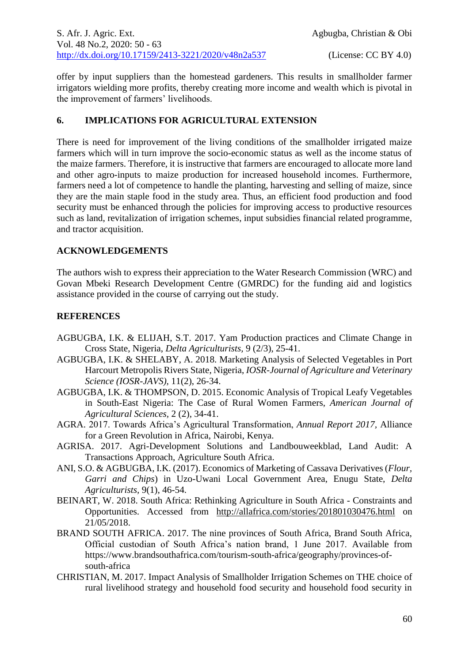offer by input suppliers than the homestead gardeners. This results in smallholder farmer irrigators wielding more profits, thereby creating more income and wealth which is pivotal in the improvement of farmers' livelihoods.

## **6. IMPLICATIONS FOR AGRICULTURAL EXTENSION**

There is need for improvement of the living conditions of the smallholder irrigated maize farmers which will in turn improve the socio-economic status as well as the income status of the maize farmers. Therefore, it is instructive that farmers are encouraged to allocate more land and other agro-inputs to maize production for increased household incomes. Furthermore, farmers need a lot of competence to handle the planting, harvesting and selling of maize, since they are the main staple food in the study area. Thus, an efficient food production and food security must be enhanced through the policies for improving access to productive resources such as land, revitalization of irrigation schemes, input subsidies financial related programme, and tractor acquisition.

## **ACKNOWLEDGEMENTS**

The authors wish to express their appreciation to the Water Research Commission (WRC) and Govan Mbeki Research Development Centre (GMRDC) for the funding aid and logistics assistance provided in the course of carrying out the study.

# **REFERENCES**

- AGBUGBA, I.K. & ELIJAH, S.T. 2017. Yam Production practices and Climate Change in Cross State, Nigeria, *Delta Agriculturists,* 9 (2/3), 25-41.
- AGBUGBA, I.K. & SHELABY, A. 2018. Marketing Analysis of Selected Vegetables in Port Harcourt Metropolis Rivers State, Nigeria, *IOSR-Journal of Agriculture and Veterinary Science (IOSR-JAVS),* 11(2), 26-34.
- AGBUGBA, I.K. & THOMPSON, D. 2015. Economic Analysis of Tropical Leafy Vegetables in South-East Nigeria: The Case of Rural Women Farmers, *American Journal of Agricultural Sciences,* 2 (2), 34-41.
- AGRA. 2017. Towards Africa's Agricultural Transformation, *Annual Report 2017,* Alliance for a Green Revolution in Africa, Nairobi, Kenya.
- AGRISA. 2017. Agri-Development Solutions and Landbouweekblad, Land Audit: A Transactions Approach, Agriculture South Africa.
- ANI, S.O. & AGBUGBA, I.K. (2017). Economics of Marketing of Cassava Derivatives (*Flour, Garri and Chips*) in Uzo-Uwani Local Government Area, Enugu State, *Delta Agriculturists,* 9(1), 46-54.
- BEINART, W. 2018. South Africa: Rethinking Agriculture in South Africa Constraints and Opportunities. Accessed from <http://allafrica.com/stories/201801030476.html> on 21/05/2018.
- BRAND SOUTH AFRICA. 2017. The nine provinces of South Africa, Brand South Africa, Official custodian of South Africa's nation brand, 1 June 2017. Available from [https://www.](https://www/)brandsouthafrica.com/tourism-south-africa/geography/provinces-ofsouth-africa
- CHRISTIAN, M. 2017. Impact Analysis of Smallholder Irrigation Schemes on THE choice of rural livelihood strategy and household food security and household food security in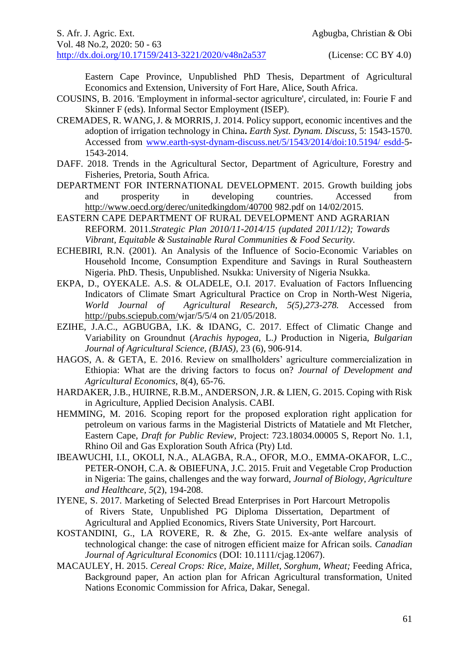Eastern Cape Province, Unpublished PhD Thesis, Department of Agricultural Economics and Extension, University of Fort Hare, Alice, South Africa.

- COUSINS, B. 2016. 'Employment in informal-sector agriculture', circulated, in: Fourie F and Skinner F (eds). Informal Sector Employment (ISEP).
- CREMADES, R. WANG,J. & MORRIS,J. 2014. Policy support, economic incentives and the adoption of irrigation technology in China**.** *Earth Syst. Dynam. Discuss*, 5: 1543-1570. Accessed from [www.earth-syst-dynam-discuss.net/5/1543/2014/doi:10.5194/ esdd-5](http://www.earth-syst-dynam-discuss.net/5/1543/2014/doi:10.5194/%20esdd-)- 1543-2014.
- DAFF. 2018. Trends in the Agricultural Sector, Department of Agriculture, Forestry and Fisheries, Pretoria, South Africa.
- DEPARTMENT FOR INTERNATIONAL DEVELOPMENT. 2015. Growth building jobs and prosperity in developing countries. Accessed from <http://www.oecd.org/derec/unitedkingdom/40700> 982.pdf on 14/02/2015.
- EASTERN CAPE DEPARTMENT OF RURAL DEVELOPMENT AND AGRARIAN REFORM. 2011.*Strategic Plan 2010/11-2014/15 (updated 2011/12); Towards Vibrant, Equitable & Sustainable Rural Communities & Food Security.*
- ECHEBIRI, R.N. (2001). An Analysis of the Influence of Socio-Economic Variables on Household Income, Consumption Expenditure and Savings in Rural Southeastern Nigeria. PhD. Thesis, Unpublished. Nsukka: University of Nigeria Nsukka.
- EKPA, D., OYEKALE. A.S. & OLADELE, O.I. 2017. Evaluation of Factors Influencing Indicators of Climate Smart Agricultural Practice on Crop in North-West Nigeria, World Journal of Agricultural Research, 5(5),273-278. Accessed from Agricultural Research, 5(5),273-278. Accessed from [http://pubs.sciepub.com/w](http://pubs.sciepub.com/)jar/5/5/4 on 21/05/2018.
- EZIHE, J.A.C., AGBUGBA, I.K. & IDANG, C. 2017. Effect of Climatic Change and Variability on Groundnut (*Arachis hypogea,* L.*)* Production in Nigeria, *Bulgarian Journal of Agricultural Science, (BJAS),* 23 (6), 906-914.
- HAGOS, A. & GETA, E. 2016. Review on smallholders' agriculture commercialization in Ethiopia: What are the driving factors to focus on? *Journal of Development and Agricultural Economics,* 8(4), 65-76.
- HARDAKER, J.B., HUIRNE, R.B.M., ANDERSON, J.R. & LIEN, G. 2015. Coping with Risk in Agriculture, Applied Decision Analysis. CABI.
- HEMMING, M. 2016. Scoping report for the proposed exploration right application for petroleum on various farms in the Magisterial Districts of Matatiele and Mt Fletcher, Eastern Cape, *Draft for Public Review*, Project: 723.18034.00005 S, Report No. 1.1, Rhino Oil and Gas Exploration South Africa (Pty) Ltd.
- IBEAWUCHI, I.I., OKOLI, N.A., ALAGBA, R.A., OFOR, M.O., EMMA-OKAFOR, L.C., PETER-ONOH, C.A. & OBIEFUNA, J.C. 2015. Fruit and Vegetable Crop Production in Nigeria: The gains, challenges and the way forward, *Journal of Biology, Agriculture and Healthcare, 5*(2), 194-208.
- IYENE, S. 2017. Marketing of Selected Bread Enterprises in Port Harcourt Metropolis of Rivers State, Unpublished PG Diploma Dissertation, Department of Agricultural and Applied Economics, Rivers State University, Port Harcourt.
- KOSTANDINI, G., LA ROVERE, R. & Zhe, G. 2015. Ex-ante welfare analysis of technological change: the case of nitrogen efficient maize for African soils. *Canadian Journal of Agricultural Economics* (DOI: 10.1111/cjag.12067).
- MACAULEY, H. 2015. *Cereal Crops: Rice, Maize, Millet, Sorghum, Wheat;* Feeding Africa, Background paper, An action plan for African Agricultural transformation, United Nations Economic Commission for Africa, Dakar, Senegal.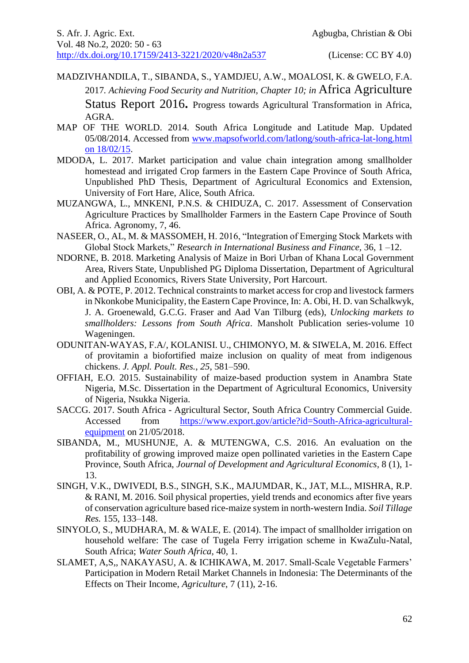- MADZIVHANDILA, T., SIBANDA, S., YAMDJEU, A.W., MOALOSI, K. & GWELO, F.A. 2017*. Achieving Food Security and Nutrition, Chapter 10; in* Africa Agriculture Status Report 2016**.** Progress towards Agricultural Transformation in Africa, AGRA.
- MAP OF THE WORLD. 2014. South Africa Longitude and Latitude Map. Updated 05/08/2014. Accessed from [www.mapsofworld.com/latlong/south-africa-lat-long.html](http://www.mapsofworld.com/latlong/south-africa-lat-long.html%20on%2018/02/15)  [on 18/02/15.](http://www.mapsofworld.com/latlong/south-africa-lat-long.html%20on%2018/02/15)
- MDODA, L. 2017. Market participation and value chain integration among smallholder homestead and irrigated Crop farmers in the Eastern Cape Province of South Africa, Unpublished PhD Thesis, Department of Agricultural Economics and Extension, University of Fort Hare, Alice, South Africa.
- MUZANGWA, L., MNKENI, P.N.S. & CHIDUZA, C. 2017. Assessment of Conservation Agriculture Practices by Smallholder Farmers in the Eastern Cape Province of South Africa. Agronomy, 7, 46.
- NASEER, O., AL, M. & MASSOMEH, H. 2016, "Integration of Emerging Stock Markets with Global Stock Markets," *Research in International Business and Finance,* 36, 1 –12.
- NDORNE, B. 2018. Marketing Analysis of Maize in Bori Urban of Khana Local Government Area, Rivers State, Unpublished PG Diploma Dissertation, Department of Agricultural and Applied Economics, Rivers State University, Port Harcourt.
- OBI, A. & POTE, P. 2012. Technical constraints to market access for crop and livestock farmers in Nkonkobe Municipality, the Eastern Cape Province, In: A. Obi, H. D. van Schalkwyk, J. A. Groenewald, G.C.G. Fraser and Aad Van Tilburg (eds), *Unlocking markets to smallholders: Lessons from South Africa*. Mansholt Publication series-volume 10 Wageningen.
- ODUNITAN-WAYAS, F.A/, KOLANISI. U., CHIMONYO, M. & SIWELA, M. 2016. Effect of provitamin a biofortified maize inclusion on quality of meat from indigenous chickens. *J. Appl. Poult. Res.*, *25*, 581–590.
- OFFIAH, E.O. 2015. Sustainability of maize-based production system in Anambra State Nigeria, M.Sc. Dissertation in the Department of Agricultural Economics, University of Nigeria, Nsukka Nigeria.
- SACCG. 2017. South Africa Agricultural Sector, South Africa Country Commercial Guide. Accessed from [https://www.export.gov/article?id=South-Africa-agricultural](https://www.export.gov/article?id=South-Africa-agricultural-equipment)[equipment](https://www.export.gov/article?id=South-Africa-agricultural-equipment) on 21/05/2018.
- SIBANDA, M., MUSHUNJE, A. & MUTENGWA, C.S. 2016. An evaluation on the profitability of growing improved maize open pollinated varieties in the Eastern Cape Province, South Africa, *Journal of Development and Agricultural Economics,* 8 (1), 1- 13.
- SINGH, V.K., DWIVEDI, B.S., SINGH, S.K., MAJUMDAR, K., JAT, M.L., MISHRA, R.P. & RANI, M. 2016. Soil physical properties, yield trends and economics after five years of conservation agriculture based rice-maize system in north-western India. *Soil Tillage Res.* 155, 133–148.
- SINYOLO, S., MUDHARA, M. & WALE, E. (2014). The impact of smallholder irrigation on household welfare: The case of Tugela Ferry irrigation scheme in KwaZulu-Natal, South Africa; *Water South Africa,* 40, 1.
- SLAMET, A,S,, NAKAYASU, A. & ICHIKAWA, M. 2017. Small-Scale Vegetable Farmers' Participation in Modern Retail Market Channels in Indonesia: The Determinants of the Effects on Their Income, *Agriculture*, 7 (11), 2-16.